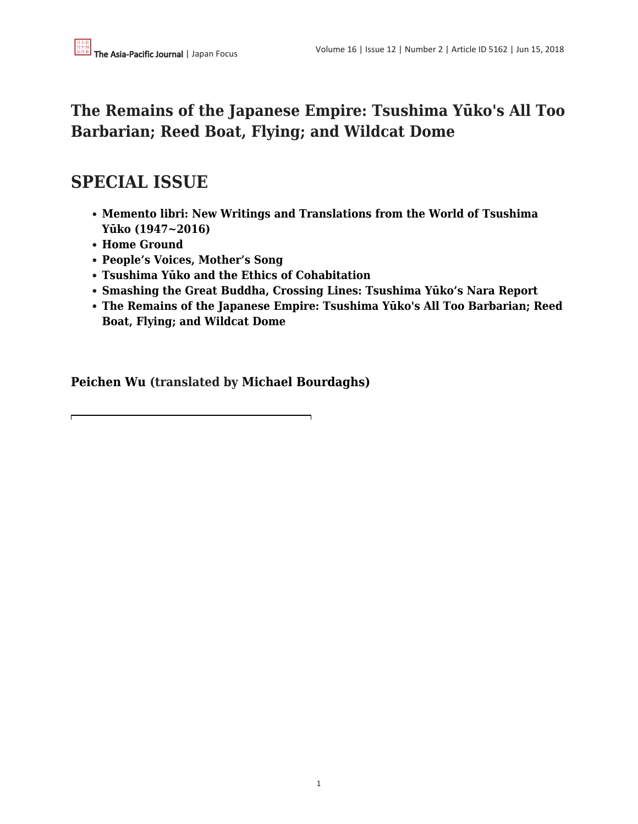## **The Remains of the Japanese Empire: Tsushima Yūko's All Too Barbarian; Reed Boat, Flying; and Wildcat Dome**

# **SPECIAL ISSUE**

- **[Memento libri: New Writings and Translations from the World of Tsushima](http://www.apjjf.org/2018/12/McKnight.html) [Yūko \(1947~2016\)](http://www.apjjf.org/2018/12/McKnight.html)**
- **[Home Ground](http://www.apjjf.org/2018/12/Harcourt.html)**
- **[People's Voices, Mother's Song](http://www.apjjf.org/2018/12/Ishihara.html)**
- **[Tsushima Yūko and the Ethics of Cohabitation](http://www.apjjf.org/2018/12/Auestad.html)**
- **[Smashing the Great Buddha, Crossing Lines: Tsushima Yūko's Nara Report](http://www.apjjf.org/2018/12/Shigeto.html)**
- **[The Remains of the Japanese Empire: Tsushima Yūko's All Too Barbarian; Reed](http://www.apjjf.org/2018/12/Wu.html) [Boat, Flying; and Wildcat Dome](http://www.apjjf.org/2018/12/Wu.html)**

**[Peichen Wu](https://apjjf.org/authors/view/14865) (translated by [Michael Bourdaghs\)](https://apjjf.org/authors/view/14478)**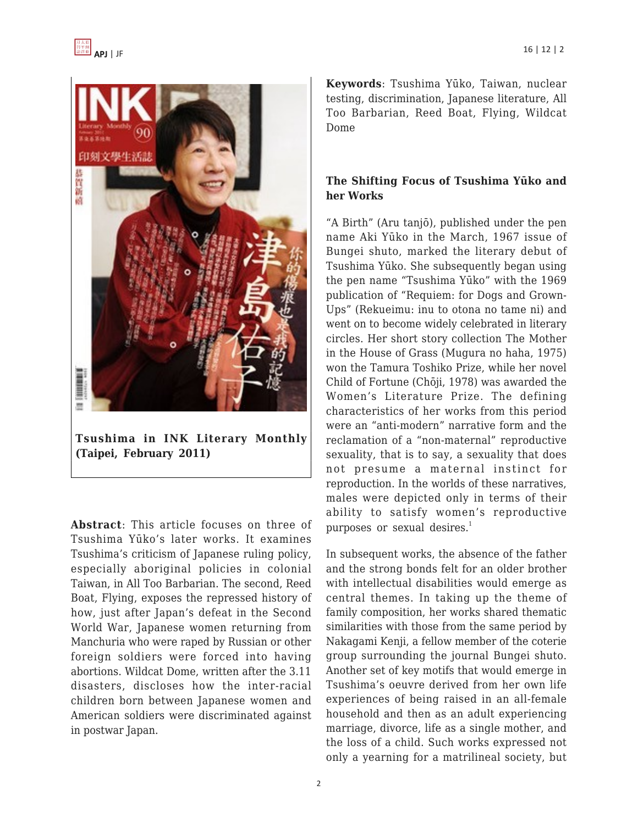

**Tsushima in INK Literary Monthly (Taipei, February 2011)**

**Abstract**: This article focuses on three of Tsushima Yūko's later works. It examines Tsushima's criticism of Japanese ruling policy, especially aboriginal policies in colonial Taiwan, in All Too Barbarian. The second, Reed Boat, Flying, exposes the repressed history of how, just after Japan's defeat in the Second World War, Japanese women returning from Manchuria who were raped by Russian or other foreign soldiers were forced into having abortions. Wildcat Dome, written after the 3.11 disasters, discloses how the inter-racial children born between Japanese women and American soldiers were discriminated against in postwar Japan.

**Keywords**: Tsushima Yūko, Taiwan, nuclear testing, discrimination, Japanese literature, All Too Barbarian, Reed Boat, Flying, Wildcat Dome

### **The Shifting Focus of Tsushima Yūko and her Works**

"A Birth" (Aru tanjō), published under the pen name Aki Yūko in the March, 1967 issue of Bungei shuto, marked the literary debut of Tsushima Yūko. She subsequently began using the pen name "Tsushima Yūko" with the 1969 publication of "Requiem: for Dogs and Grown-Ups" (Rekueimu: inu to otona no tame ni) and went on to become widely celebrated in literary circles. Her short story collection The Mother in the House of Grass (Mugura no haha, 1975) won the Tamura Toshiko Prize, while her novel Child of Fortune (Chōji, 1978) was awarded the Women's Literature Prize. The defining characteristics of her works from this period were an "anti-modern" narrative form and the reclamation of a "non-maternal" reproductive sexuality, that is to say, a sexuality that does not presume a maternal instinct for reproduction. In the worlds of these narratives, males were depicted only in terms of their ability to satisfy women's reproductive purposes or sexual desires. $1$ 

In subsequent works, the absence of the father and the strong bonds felt for an older brother with intellectual disabilities would emerge as central themes. In taking up the theme of family composition, her works shared thematic similarities with those from the same period by Nakagami Kenji, a fellow member of the coterie group surrounding the journal Bungei shuto. Another set of key motifs that would emerge in Tsushima's oeuvre derived from her own life experiences of being raised in an all-female household and then as an adult experiencing marriage, divorce, life as a single mother, and the loss of a child. Such works expressed not only a yearning for a matrilineal society, but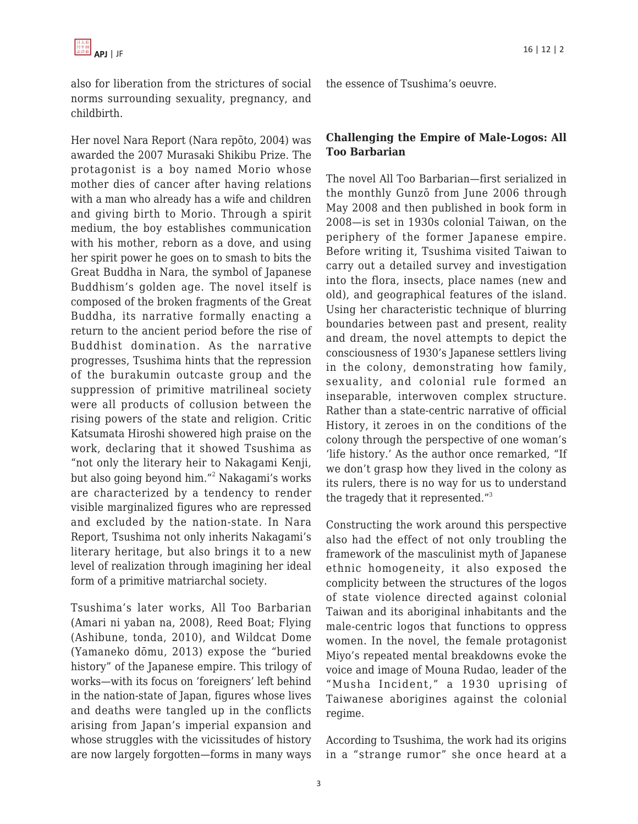also for liberation from the strictures of social norms surrounding sexuality, pregnancy, and childbirth.

Her novel Nara Report (Nara repōto, 2004) was awarded the 2007 Murasaki Shikibu Prize. The protagonist is a boy named Morio whose mother dies of cancer after having relations with a man who already has a wife and children and giving birth to Morio. Through a spirit medium, the boy establishes communication with his mother, reborn as a dove, and using her spirit power he goes on to smash to bits the Great Buddha in Nara, the symbol of Japanese Buddhism's golden age. The novel itself is composed of the broken fragments of the Great Buddha, its narrative formally enacting a return to the ancient period before the rise of Buddhist domination. As the narrative progresses, Tsushima hints that the repression of the burakumin outcaste group and the suppression of primitive matrilineal society were all products of collusion between the rising powers of the state and religion. Critic Katsumata Hiroshi showered high praise on the work, declaring that it showed Tsushima as "not only the literary heir to Nakagami Kenji, but also going beyond him." $^2$  Nakagami's works are characterized by a tendency to render visible marginalized figures who are repressed and excluded by the nation-state. In Nara Report, Tsushima not only inherits Nakagami's literary heritage, but also brings it to a new level of realization through imagining her ideal form of a primitive matriarchal society.

Tsushima's later works, All Too Barbarian (Amari ni yaban na, 2008), Reed Boat; Flying (Ashibune, tonda, 2010), and Wildcat Dome (Yamaneko dōmu, 2013) expose the "buried history" of the Japanese empire. This trilogy of works—with its focus on 'foreigners' left behind in the nation-state of Japan, figures whose lives and deaths were tangled up in the conflicts arising from Japan's imperial expansion and whose struggles with the vicissitudes of history are now largely forgotten—forms in many ways the essence of Tsushima's oeuvre.

#### **Challenging the Empire of Male-Logos: All Too Barbarian**

The novel All Too Barbarian—first serialized in the monthly Gunzō from June 2006 through May 2008 and then published in book form in 2008—is set in 1930s colonial Taiwan, on the periphery of the former Japanese empire. Before writing it, Tsushima visited Taiwan to carry out a detailed survey and investigation into the flora, insects, place names (new and old), and geographical features of the island. Using her characteristic technique of blurring boundaries between past and present, reality and dream, the novel attempts to depict the consciousness of 1930's Japanese settlers living in the colony, demonstrating how family, sexuality, and colonial rule formed an inseparable, interwoven complex structure. Rather than a state-centric narrative of official History, it zeroes in on the conditions of the colony through the perspective of one woman's 'life history.' As the author once remarked, "If we don't grasp how they lived in the colony as its rulers, there is no way for us to understand the tragedy that it represented."<sup>3</sup>

Constructing the work around this perspective also had the effect of not only troubling the framework of the masculinist myth of Japanese ethnic homogeneity, it also exposed the complicity between the structures of the logos of state violence directed against colonial Taiwan and its aboriginal inhabitants and the male-centric logos that functions to oppress women. In the novel, the female protagonist Miyo's repeated mental breakdowns evoke the voice and image of Mouna Rudao, leader of the "Musha Incident," a 1930 uprising of Taiwanese aborigines against the colonial regime.

According to Tsushima, the work had its origins in a "strange rumor" she once heard at a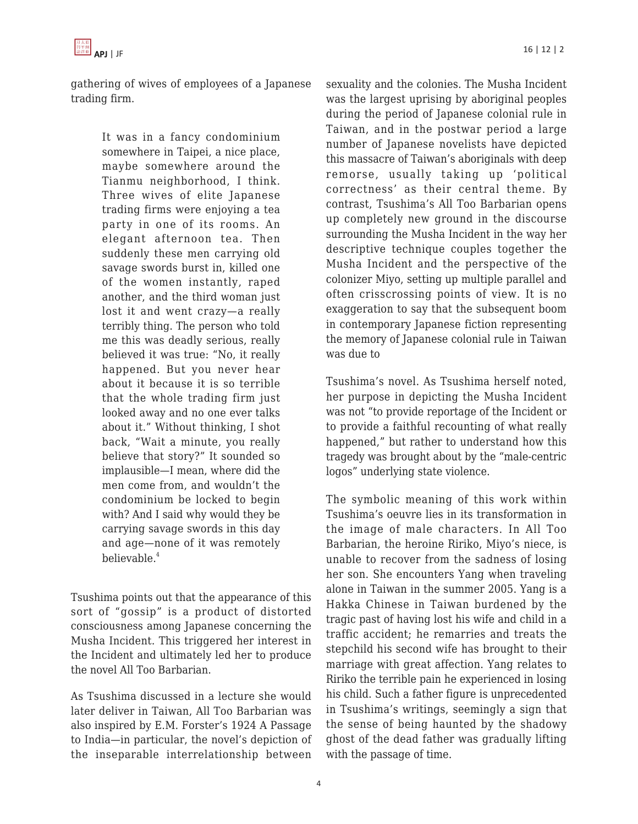

gathering of wives of employees of a Japanese trading firm.

> It was in a fancy condominium somewhere in Taipei, a nice place, maybe somewhere around the Tianmu neighborhood, I think. Three wives of elite Japanese trading firms were enjoying a tea party in one of its rooms. An elegant afternoon tea. Then suddenly these men carrying old savage swords burst in, killed one of the women instantly, raped another, and the third woman just lost it and went crazy—a really terribly thing. The person who told me this was deadly serious, really believed it was true: "No, it really happened. But you never hear about it because it is so terrible that the whole trading firm just looked away and no one ever talks about it." Without thinking, I shot back, "Wait a minute, you really believe that story?" It sounded so implausible—I mean, where did the men come from, and wouldn't the condominium be locked to begin with? And I said why would they be carrying savage swords in this day and age—none of it was remotely believable.<sup>4</sup>

Tsushima points out that the appearance of this sort of "gossip" is a product of distorted consciousness among Japanese concerning the Musha Incident. This triggered her interest in the Incident and ultimately led her to produce the novel All Too Barbarian.

As Tsushima discussed in a lecture she would later deliver in Taiwan, All Too Barbarian was also inspired by E.M. Forster's 1924 A Passage to India—in particular, the novel's depiction of the inseparable interrelationship between sexuality and the colonies. The Musha Incident was the largest uprising by aboriginal peoples during the period of Japanese colonial rule in Taiwan, and in the postwar period a large number of Japanese novelists have depicted this massacre of Taiwan's aboriginals with deep remorse, usually taking up 'political correctness' as their central theme. By contrast, Tsushima's All Too Barbarian opens up completely new ground in the discourse surrounding the Musha Incident in the way her descriptive technique couples together the Musha Incident and the perspective of the colonizer Miyo, setting up multiple parallel and often crisscrossing points of view. It is no exaggeration to say that the subsequent boom in contemporary Japanese fiction representing the memory of Japanese colonial rule in Taiwan was due to

Tsushima's novel. As Tsushima herself noted, her purpose in depicting the Musha Incident was not "to provide reportage of the Incident or to provide a faithful recounting of what really happened," but rather to understand how this tragedy was brought about by the "male-centric logos" underlying state violence.

The symbolic meaning of this work within Tsushima's oeuvre lies in its transformation in the image of male characters. In All Too Barbarian, the heroine Ririko, Miyo's niece, is unable to recover from the sadness of losing her son. She encounters Yang when traveling alone in Taiwan in the summer 2005. Yang is a Hakka Chinese in Taiwan burdened by the tragic past of having lost his wife and child in a traffic accident; he remarries and treats the stepchild his second wife has brought to their marriage with great affection. Yang relates to Ririko the terrible pain he experienced in losing his child. Such a father figure is unprecedented in Tsushima's writings, seemingly a sign that the sense of being haunted by the shadowy ghost of the dead father was gradually lifting with the passage of time.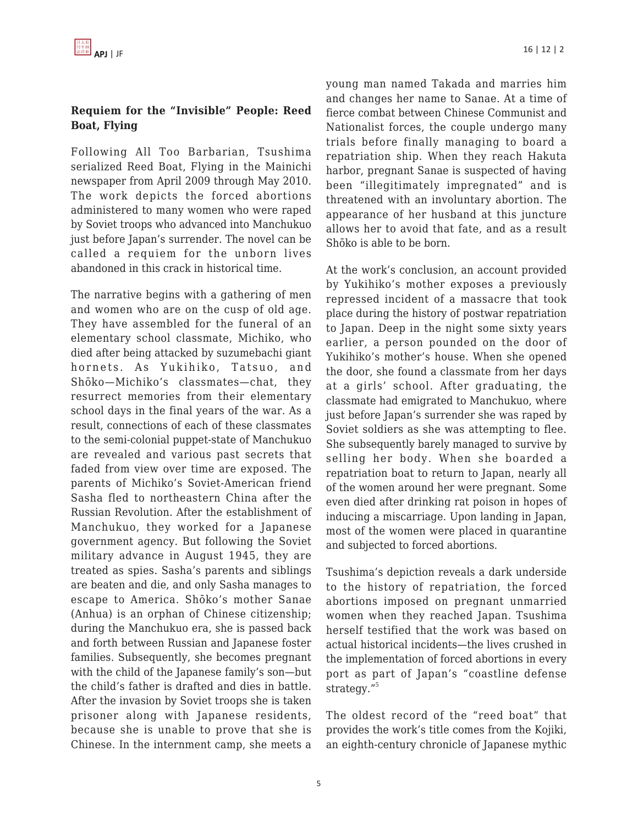#### **Requiem for the "Invisible" People: Reed Boat, Flying**

Following All Too Barbarian, Tsushima serialized Reed Boat, Flying in the Mainichi newspaper from April 2009 through May 2010. The work depicts the forced abortions administered to many women who were raped by Soviet troops who advanced into Manchukuo just before Japan's surrender. The novel can be called a requiem for the unborn lives abandoned in this crack in historical time.

The narrative begins with a gathering of men and women who are on the cusp of old age. They have assembled for the funeral of an elementary school classmate, Michiko, who died after being attacked by suzumebachi giant hornets. As Yukihiko, Tatsuo, and Shōko—Michiko's classmates—chat, they resurrect memories from their elementary school days in the final years of the war. As a result, connections of each of these classmates to the semi-colonial puppet-state of Manchukuo are revealed and various past secrets that faded from view over time are exposed. The parents of Michiko's Soviet-American friend Sasha fled to northeastern China after the Russian Revolution. After the establishment of Manchukuo, they worked for a Japanese government agency. But following the Soviet military advance in August 1945, they are treated as spies. Sasha's parents and siblings are beaten and die, and only Sasha manages to escape to America. Shōko's mother Sanae (Anhua) is an orphan of Chinese citizenship; during the Manchukuo era, she is passed back and forth between Russian and Japanese foster families. Subsequently, she becomes pregnant with the child of the Japanese family's son—but the child's father is drafted and dies in battle. After the invasion by Soviet troops she is taken prisoner along with Japanese residents, because she is unable to prove that she is Chinese. In the internment camp, she meets a

young man named Takada and marries him and changes her name to Sanae. At a time of fierce combat between Chinese Communist and Nationalist forces, the couple undergo many trials before finally managing to board a repatriation ship. When they reach Hakuta harbor, pregnant Sanae is suspected of having been "illegitimately impregnated" and is threatened with an involuntary abortion. The appearance of her husband at this juncture allows her to avoid that fate, and as a result Shōko is able to be born.

At the work's conclusion, an account provided by Yukihiko's mother exposes a previously repressed incident of a massacre that took place during the history of postwar repatriation to Japan. Deep in the night some sixty years earlier, a person pounded on the door of Yukihiko's mother's house. When she opened the door, she found a classmate from her days at a girls' school. After graduating, the classmate had emigrated to Manchukuo, where just before Japan's surrender she was raped by Soviet soldiers as she was attempting to flee. She subsequently barely managed to survive by selling her body. When she boarded a repatriation boat to return to Japan, nearly all of the women around her were pregnant. Some even died after drinking rat poison in hopes of inducing a miscarriage. Upon landing in Japan, most of the women were placed in quarantine and subjected to forced abortions.

Tsushima's depiction reveals a dark underside to the history of repatriation, the forced abortions imposed on pregnant unmarried women when they reached Japan. Tsushima herself testified that the work was based on actual historical incidents—the lives crushed in the implementation of forced abortions in every port as part of Japan's "coastline defense strategy."<sup>5</sup>

The oldest record of the "reed boat" that provides the work's title comes from the Kojiki, an eighth-century chronicle of Japanese mythic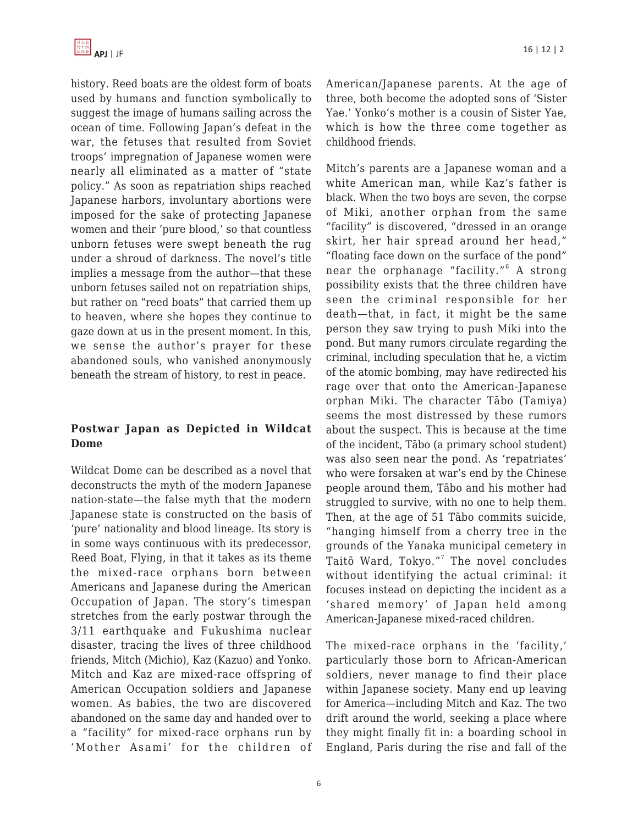history. Reed boats are the oldest form of boats used by humans and function symbolically to suggest the image of humans sailing across the ocean of time. Following Japan's defeat in the war, the fetuses that resulted from Soviet troops' impregnation of Japanese women were nearly all eliminated as a matter of "state policy." As soon as repatriation ships reached Japanese harbors, involuntary abortions were imposed for the sake of protecting Japanese women and their 'pure blood,' so that countless unborn fetuses were swept beneath the rug under a shroud of darkness. The novel's title implies a message from the author—that these unborn fetuses sailed not on repatriation ships, but rather on "reed boats" that carried them up to heaven, where she hopes they continue to gaze down at us in the present moment. In this, we sense the author's prayer for these abandoned souls, who vanished anonymously beneath the stream of history, to rest in peace.

### **Postwar Japan as Depicted in Wildcat Dome**

Wildcat Dome can be described as a novel that deconstructs the myth of the modern Japanese nation-state—the false myth that the modern Japanese state is constructed on the basis of 'pure' nationality and blood lineage. Its story is in some ways continuous with its predecessor, Reed Boat, Flying, in that it takes as its theme the mixed-race orphans born between Americans and Japanese during the American Occupation of Japan. The story's timespan stretches from the early postwar through the 3/11 earthquake and Fukushima nuclear disaster, tracing the lives of three childhood friends, Mitch (Michio), Kaz (Kazuo) and Yonko. Mitch and Kaz are mixed-race offspring of American Occupation soldiers and Japanese women. As babies, the two are discovered abandoned on the same day and handed over to a "facility" for mixed-race orphans run by 'Mother Asami' for the children of American/Japanese parents. At the age of three, both become the adopted sons of 'Sister Yae.' Yonko's mother is a cousin of Sister Yae, which is how the three come together as childhood friends.

Mitch's parents are a Japanese woman and a white American man, while Kaz's father is black. When the two boys are seven, the corpse of Miki, another orphan from the same "facility" is discovered, "dressed in an orange skirt, her hair spread around her head," "floating face down on the surface of the pond" near the orphanage "facility."<sup>6</sup> A strong possibility exists that the three children have seen the criminal responsible for her death—that, in fact, it might be the same person they saw trying to push Miki into the pond. But many rumors circulate regarding the criminal, including speculation that he, a victim of the atomic bombing, may have redirected his rage over that onto the American-Japanese orphan Miki. The character Tābo (Tamiya) seems the most distressed by these rumors about the suspect. This is because at the time of the incident, Tābo (a primary school student) was also seen near the pond. As 'repatriates' who were forsaken at war's end by the Chinese people around them, Tābo and his mother had struggled to survive, with no one to help them. Then, at the age of 51 Tābo commits suicide, "hanging himself from a cherry tree in the grounds of the Yanaka municipal cemetery in Taitō Ward, Tokyo."<sup>7</sup> The novel concludes without identifying the actual criminal: it focuses instead on depicting the incident as a 'shared memory' of Japan held among American-Japanese mixed-raced children.

The mixed-race orphans in the 'facility,' particularly those born to African-American soldiers, never manage to find their place within Japanese society. Many end up leaving for America—including Mitch and Kaz. The two drift around the world, seeking a place where they might finally fit in: a boarding school in England, Paris during the rise and fall of the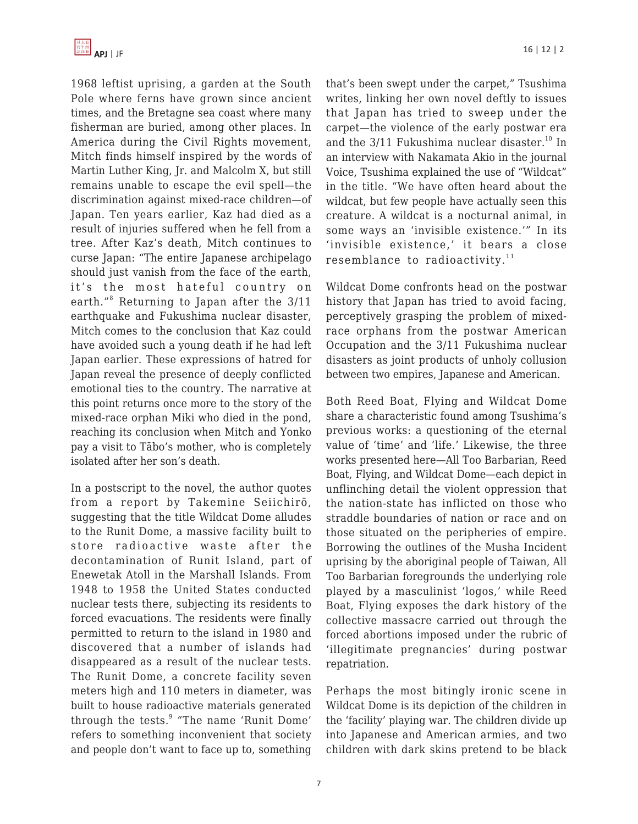1968 leftist uprising, a garden at the South Pole where ferns have grown since ancient times, and the Bretagne sea coast where many fisherman are buried, among other places. In America during the Civil Rights movement, Mitch finds himself inspired by the words of Martin Luther King, Jr. and Malcolm X, but still remains unable to escape the evil spell—the discrimination against mixed-race children—of Japan. Ten years earlier, Kaz had died as a result of injuries suffered when he fell from a tree. After Kaz's death, Mitch continues to curse Japan: "The entire Japanese archipelago should just vanish from the face of the earth, it's the most hateful country on earth."<sup>8</sup> Returning to Japan after the 3/11 earthquake and Fukushima nuclear disaster. Mitch comes to the conclusion that Kaz could have avoided such a young death if he had left Japan earlier. These expressions of hatred for Japan reveal the presence of deeply conflicted emotional ties to the country. The narrative at this point returns once more to the story of the mixed-race orphan Miki who died in the pond, reaching its conclusion when Mitch and Yonko pay a visit to Tābo's mother, who is completely isolated after her son's death.

In a postscript to the novel, the author quotes from a report by Takemine Seiichirō, suggesting that the title Wildcat Dome alludes to the Runit Dome, a massive facility built to store radioactive waste after the decontamination of Runit Island, part of Enewetak Atoll in the Marshall Islands. From 1948 to 1958 the United States conducted nuclear tests there, subjecting its residents to forced evacuations. The residents were finally permitted to return to the island in 1980 and discovered that a number of islands had disappeared as a result of the nuclear tests. The Runit Dome, a concrete facility seven meters high and 110 meters in diameter, was built to house radioactive materials generated through the tests.<sup>9</sup> "The name 'Runit Dome' refers to something inconvenient that society and people don't want to face up to, something that's been swept under the carpet," Tsushima writes, linking her own novel deftly to issues that Japan has tried to sweep under the carpet—the violence of the early postwar era and the  $3/11$  Fukushima nuclear disaster.<sup>10</sup> In an interview with Nakamata Akio in the journal Voice, Tsushima explained the use of "Wildcat" in the title. "We have often heard about the wildcat, but few people have actually seen this creature. A wildcat is a nocturnal animal, in some ways an 'invisible existence.'" In its 'invisible existence,' it bears a close resemblance to radioactivity. $11$ 

Wildcat Dome confronts head on the postwar history that Japan has tried to avoid facing, perceptively grasping the problem of mixedrace orphans from the postwar American Occupation and the 3/11 Fukushima nuclear disasters as joint products of unholy collusion between two empires, Japanese and American.

Both Reed Boat, Flying and Wildcat Dome share a characteristic found among Tsushima's previous works: a questioning of the eternal value of 'time' and 'life.' Likewise, the three works presented here—All Too Barbarian, Reed Boat, Flying, and Wildcat Dome—each depict in unflinching detail the violent oppression that the nation-state has inflicted on those who straddle boundaries of nation or race and on those situated on the peripheries of empire. Borrowing the outlines of the Musha Incident uprising by the aboriginal people of Taiwan, All Too Barbarian foregrounds the underlying role played by a masculinist 'logos,' while Reed Boat, Flying exposes the dark history of the collective massacre carried out through the forced abortions imposed under the rubric of 'illegitimate pregnancies' during postwar repatriation.

Perhaps the most bitingly ironic scene in Wildcat Dome is its depiction of the children in the 'facility' playing war. The children divide up into Japanese and American armies, and two children with dark skins pretend to be black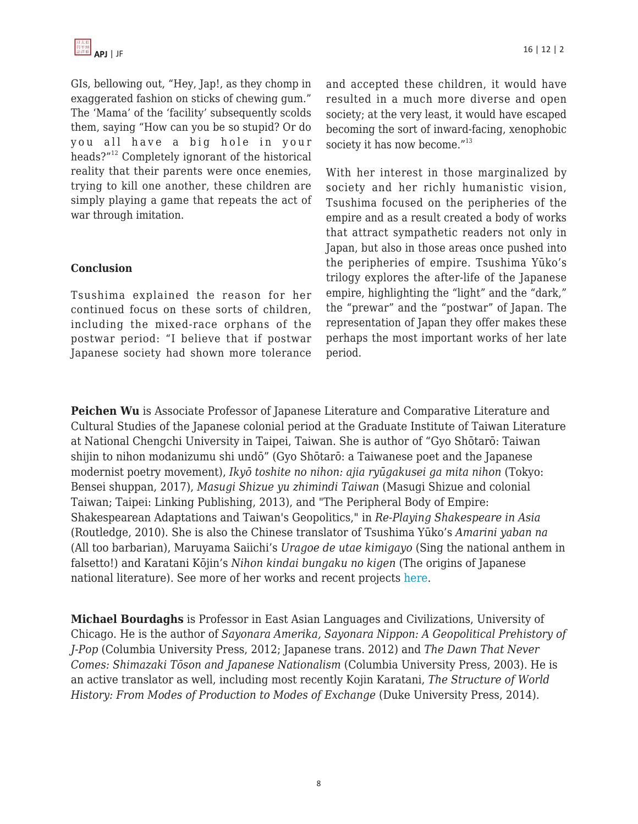GIs, bellowing out, "Hey, Jap!, as they chomp in exaggerated fashion on sticks of chewing gum." The 'Mama' of the 'facility' subsequently scolds them, saying "How can you be so stupid? Or do you all have a big hole in your heads?"<sup>12</sup> Completely ignorant of the historical reality that their parents were once enemies, trying to kill one another, these children are simply playing a game that repeats the act of war through imitation.

#### **Conclusion**

Tsushima explained the reason for her continued focus on these sorts of children, including the mixed-race orphans of the postwar period: "I believe that if postwar Japanese society had shown more tolerance and accepted these children, it would have resulted in a much more diverse and open society; at the very least, it would have escaped becoming the sort of inward-facing, xenophobic society it has now become."<sup>13</sup>

With her interest in those marginalized by society and her richly humanistic vision, Tsushima focused on the peripheries of the empire and as a result created a body of works that attract sympathetic readers not only in Japan, but also in those areas once pushed into the peripheries of empire. Tsushima Yūko's trilogy explores the after-life of the Japanese empire, highlighting the "light" and the "dark," the "prewar" and the "postwar" of Japan. The representation of Japan they offer makes these perhaps the most important works of her late period.

**Peichen Wu** is Associate Professor of Japanese Literature and Comparative Literature and Cultural Studies of the Japanese colonial period at the Graduate Institute of Taiwan Literature at National Chengchi University in Taipei, Taiwan. She is author of "Gyo Shōtarō: Taiwan shijin to nihon modanizumu shi undō" (Gyo Shōtarō: a Taiwanese poet and the Japanese modernist poetry movement), *Ikyō toshite no nihon: ajia ryūgakusei ga mita nihon* (Tokyo: Bensei shuppan, 2017), *Masugi Shizue yu zhimindi Taiwan* (Masugi Shizue and colonial Taiwan; Taipei: Linking Publishing, 2013), and "The Peripheral Body of Empire: Shakespearean Adaptations and Taiwan's Geopolitics," in *Re-Playing Shakespeare in Asia* (Routledge, 2010). She is also the Chinese translator of Tsushima Yūko's *Amarini yaban na* (All too barbarian), Maruyama Saiichi's *Uragoe de utae kimigayo* (Sing the national anthem in falsetto!) and Karatani Kōjin's *Nihon kindai bungaku no kigen* (The origins of Japanese national literature). See more of her works and recent projects [here.](https://tailit.nccu.edu.tw/people/bio.php?PID=51870)

**Michael Bourdaghs** is Professor in East Asian Languages and Civilizations, University of Chicago. He is the author of *Sayonara Amerika, Sayonara Nippon: A Geopolitical Prehistory of J-Pop* (Columbia University Press, 2012; Japanese trans. 2012) and *The Dawn That Never Comes: Shimazaki Tōson and Japanese Nationalism* (Columbia University Press, 2003). He is an active translator as well, including most recently Kojin Karatani, *The Structure of World History: From Modes of Production to Modes of Exchange* (Duke University Press, 2014).